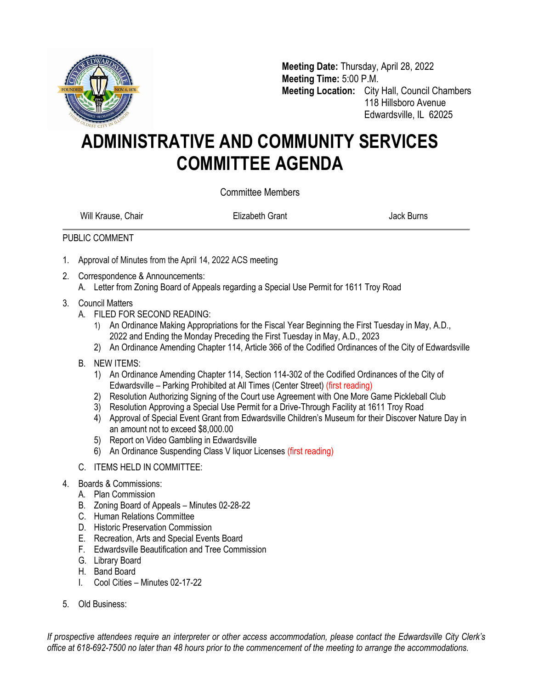

**Meeting Date:** Thursday, April 28, 2022 **Meeting Time:** 5:00 P.M. **Meeting Location:** City Hall, Council Chambers 118 Hillsboro Avenue Edwardsville, IL 62025

## **ADMINISTRATIVE AND COMMUNITY SERVICES COMMITTEE AGENDA**

Committee Members

Will Krause, Chair **Elizabeth Grant** Chair Burns Jack Burns

## PUBLIC COMMENT

- 1. Approval of Minutes from the April 14, 2022 ACS meeting
- 2. Correspondence & Announcements:
	- A. Letter from Zoning Board of Appeals regarding a Special Use Permit for 1611 Troy Road
- 3. Council Matters
	- A. FILED FOR SECOND READING:
		- 1) An Ordinance Making Appropriations for the Fiscal Year Beginning the First Tuesday in May, A.D., 2022 and Ending the Monday Preceding the First Tuesday in May, A.D., 2023
		- 2) An Ordinance Amending Chapter 114, Article 366 of the Codified Ordinances of the City of Edwardsville
	- B. NEW ITEMS:
		- 1) An Ordinance Amending Chapter 114, Section 114-302 of the Codified Ordinances of the City of Edwardsville – Parking Prohibited at All Times (Center Street) (first reading)
		- 2) Resolution Authorizing Signing of the Court use Agreement with One More Game Pickleball Club
		- 3) Resolution Approving a Special Use Permit for a Drive-Through Facility at 1611 Troy Road
		- 4) Approval of Special Event Grant from Edwardsville Children's Museum for their Discover Nature Day in an amount not to exceed \$8,000.00
		- 5) Report on Video Gambling in Edwardsville
		- 6) An Ordinance Suspending Class V liquor Licenses (first reading)
	- C. ITEMS HELD IN COMMITTEE:
- 4. Boards & Commissions:
	- A. Plan Commission
	- B. Zoning Board of Appeals Minutes 02-28-22
	- C. Human Relations Committee
	- D. Historic Preservation Commission
	- E. Recreation, Arts and Special Events Board
	- F. Edwardsville Beautification and Tree Commission
	- G. Library Board
	- H. Band Board
	- I. Cool Cities Minutes 02-17-22
- 5. Old Business:

*If prospective attendees require an interpreter or other access accommodation, please contact the Edwardsville City Clerk's office at 618-692-7500 no later than 48 hours prior to the commencement of the meeting to arrange the accommodations.*